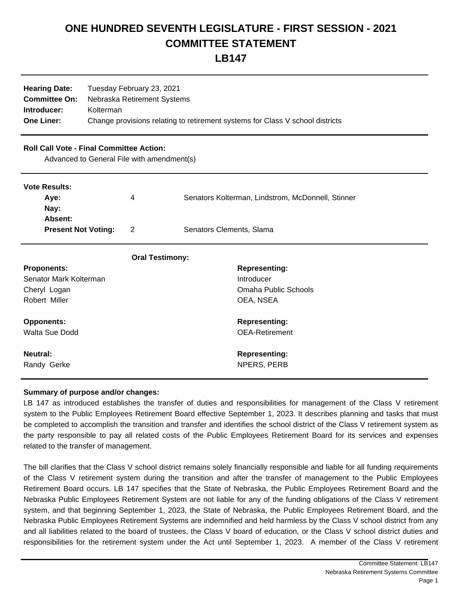# **ONE HUNDRED SEVENTH LEGISLATURE - FIRST SESSION - 2021 COMMITTEE STATEMENT**

**LB147**

| <b>Hearing Date:</b><br><b>Committee On:</b><br>Introducer:<br><b>One Liner:</b>              | Tuesday February 23, 2021<br>Nebraska Retirement Systems<br>Kolterman<br>Change provisions relating to retirement systems for Class V school districts |   |                                                   |
|-----------------------------------------------------------------------------------------------|--------------------------------------------------------------------------------------------------------------------------------------------------------|---|---------------------------------------------------|
| <b>Roll Call Vote - Final Committee Action:</b><br>Advanced to General File with amendment(s) |                                                                                                                                                        |   |                                                   |
| <b>Vote Results:</b>                                                                          |                                                                                                                                                        |   |                                                   |
| Aye:                                                                                          |                                                                                                                                                        | 4 | Senators Kolterman, Lindstrom, McDonnell, Stinner |
| Nay:                                                                                          |                                                                                                                                                        |   |                                                   |
| Absent:<br><b>Present Not Voting:</b>                                                         |                                                                                                                                                        | 2 | Senators Clements, Slama                          |
|                                                                                               |                                                                                                                                                        |   |                                                   |
|                                                                                               | <b>Oral Testimony:</b>                                                                                                                                 |   |                                                   |
| <b>Proponents:</b>                                                                            |                                                                                                                                                        |   | <b>Representing:</b>                              |
| Senator Mark Kolterman                                                                        |                                                                                                                                                        |   | Introducer                                        |

Cheryl Logan Omaha Public Schools

Robert Miller **National Community COMA**, NSEA

**Opponents: Representing: Representing: Representing:** Walta Sue Dodd **Containers** Containers and OEA-Retirement

**Neutral: Representing:**  Randy Gerke NPERS, PERB

### **Summary of purpose and/or changes:**

LB 147 as introduced establishes the transfer of duties and responsibilities for management of the Class V retirement system to the Public Employees Retirement Board effective September 1, 2023. It describes planning and tasks that must be completed to accomplish the transition and transfer and identifies the school district of the Class V retirement system as the party responsible to pay all related costs of the Public Employees Retirement Board for its services and expenses related to the transfer of management.

The bill clarifies that the Class V school district remains solely financially responsible and liable for all funding requirements of the Class V retirement system during the transition and after the transfer of management to the Public Employees Retirement Board occurs. LB 147 specifies that the State of Nebraska, the Public Employees Retirement Board and the Nebraska Public Employees Retirement System are not liable for any of the funding obligations of the Class V retirement system, and that beginning September 1, 2023, the State of Nebraska, the Public Employees Retirement Board, and the Nebraska Public Employees Retirement Systems are indemnified and held harmless by the Class V school district from any and all liabilities related to the board of trustees, the Class V board of education, or the Class V school district duties and responsibilities for the retirement system under the Act until September 1, 2023. A member of the Class V retirement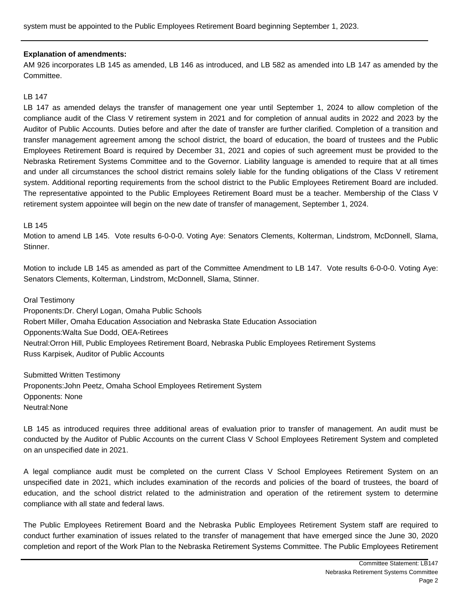system must be appointed to the Public Employees Retirement Board beginning September 1, 2023.

### **Explanation of amendments:**

AM 926 incorporates LB 145 as amended, LB 146 as introduced, and LB 582 as amended into LB 147 as amended by the Committee.

### LB 147

LB 147 as amended delays the transfer of management one year until September 1, 2024 to allow completion of the compliance audit of the Class V retirement system in 2021 and for completion of annual audits in 2022 and 2023 by the Auditor of Public Accounts. Duties before and after the date of transfer are further clarified. Completion of a transition and transfer management agreement among the school district, the board of education, the board of trustees and the Public Employees Retirement Board is required by December 31, 2021 and copies of such agreement must be provided to the Nebraska Retirement Systems Committee and to the Governor. Liability language is amended to require that at all times and under all circumstances the school district remains solely liable for the funding obligations of the Class V retirement system. Additional reporting requirements from the school district to the Public Employees Retirement Board are included. The representative appointed to the Public Employees Retirement Board must be a teacher. Membership of the Class V retirement system appointee will begin on the new date of transfer of management, September 1, 2024.

#### LB 145

Motion to amend LB 145. Vote results 6-0-0-0. Voting Aye: Senators Clements, Kolterman, Lindstrom, McDonnell, Slama, Stinner.

Motion to include LB 145 as amended as part of the Committee Amendment to LB 147. Vote results 6-0-0-0. Voting Aye: Senators Clements, Kolterman, Lindstrom, McDonnell, Slama, Stinner.

Oral Testimony

Proponents: Dr. Cheryl Logan, Omaha Public Schools Robert Miller, Omaha Education Association and Nebraska State Education Association Opponents: Walta Sue Dodd, OEA-Retirees Neutral: Orron Hill, Public Employees Retirement Board, Nebraska Public Employees Retirement Systems Russ Karpisek, Auditor of Public Accounts

Submitted Written Testimony Proponents: John Peetz, Omaha School Employees Retirement System Opponents: None Neutral: None

LB 145 as introduced requires three additional areas of evaluation prior to transfer of management. An audit must be conducted by the Auditor of Public Accounts on the current Class V School Employees Retirement System and completed on an unspecified date in 2021.

A legal compliance audit must be completed on the current Class V School Employees Retirement System on an unspecified date in 2021, which includes examination of the records and policies of the board of trustees, the board of education, and the school district related to the administration and operation of the retirement system to determine compliance with all state and federal laws.

The Public Employees Retirement Board and the Nebraska Public Employees Retirement System staff are required to conduct further examination of issues related to the transfer of management that have emerged since the June 30, 2020 completion and report of the Work Plan to the Nebraska Retirement Systems Committee. The Public Employees Retirement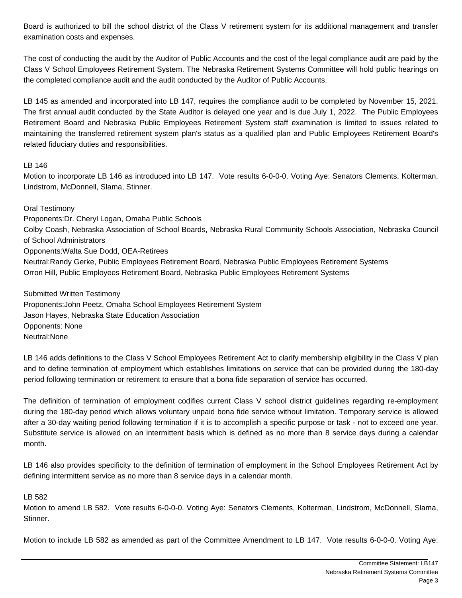Board is authorized to bill the school district of the Class V retirement system for its additional management and transfer examination costs and expenses.

The cost of conducting the audit by the Auditor of Public Accounts and the cost of the legal compliance audit are paid by the Class V School Employees Retirement System. The Nebraska Retirement Systems Committee will hold public hearings on the completed compliance audit and the audit conducted by the Auditor of Public Accounts.

LB 145 as amended and incorporated into LB 147, requires the compliance audit to be completed by November 15, 2021. The first annual audit conducted by the State Auditor is delayed one year and is due July 1, 2022. The Public Employees Retirement Board and Nebraska Public Employees Retirement System staff examination is limited to issues related to maintaining the transferred retirement system plan's status as a qualified plan and Public Employees Retirement Board's related fiduciary duties and responsibilities.

### LB 146

Motion to incorporate LB 146 as introduced into LB 147. Vote results 6-0-0-0. Voting Aye: Senators Clements, Kolterman, Lindstrom, McDonnell, Slama, Stinner.

Oral Testimony Proponents: Dr. Cheryl Logan, Omaha Public Schools Colby Coash, Nebraska Association of School Boards, Nebraska Rural Community Schools Association, Nebraska Council of School Administrators Opponents: Walta Sue Dodd, OEA-Retirees Neutral: Randy Gerke, Public Employees Retirement Board, Nebraska Public Employees Retirement Systems Orron Hill, Public Employees Retirement Board, Nebraska Public Employees Retirement Systems

Submitted Written Testimony

Proponents: John Peetz, Omaha School Employees Retirement System Jason Hayes, Nebraska State Education Association Opponents: None Neutral: None

LB 146 adds definitions to the Class V School Employees Retirement Act to clarify membership eligibility in the Class V plan and to define termination of employment which establishes limitations on service that can be provided during the 180-day period following termination or retirement to ensure that a bona fide separation of service has occurred.

The definition of termination of employment codifies current Class V school district guidelines regarding re-employment during the 180-day period which allows voluntary unpaid bona fide service without limitation. Temporary service is allowed after a 30-day waiting period following termination if it is to accomplish a specific purpose or task - not to exceed one year. Substitute service is allowed on an intermittent basis which is defined as no more than 8 service days during a calendar month.

LB 146 also provides specificity to the definition of termination of employment in the School Employees Retirement Act by defining intermittent service as no more than 8 service days in a calendar month.

### LB 582

Motion to amend LB 582. Vote results 6-0-0-0. Voting Aye: Senators Clements, Kolterman, Lindstrom, McDonnell, Slama, Stinner.

Motion to include LB 582 as amended as part of the Committee Amendment to LB 147. Vote results 6-0-0-0. Voting Aye: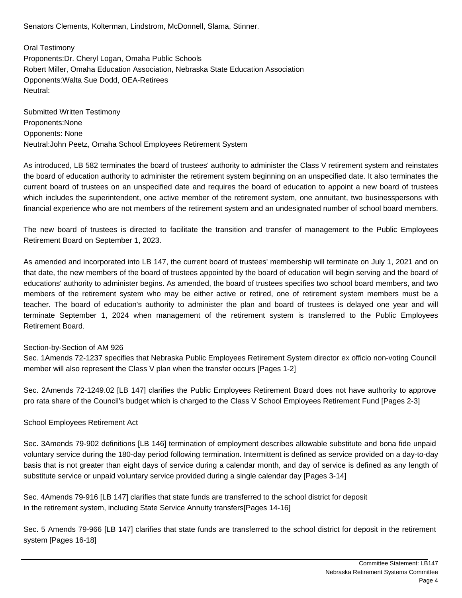Senators Clements, Kolterman, Lindstrom, McDonnell, Slama, Stinner.

Oral Testimony Proponents: Dr. Cheryl Logan, Omaha Public Schools Robert Miller, Omaha Education Association, Nebraska State Education Association Opponents: Walta Sue Dodd, OEA-Retirees Neutral: 

Submitted Written Testimony Proponents: None Opponents: None Neutral: John Peetz, Omaha School Employees Retirement System

As introduced, LB 582 terminates the board of trustees' authority to administer the Class V retirement system and reinstates the board of education authority to administer the retirement system beginning on an unspecified date. It also terminates the current board of trustees on an unspecified date and requires the board of education to appoint a new board of trustees which includes the superintendent, one active member of the retirement system, one annuitant, two businesspersons with financial experience who are not members of the retirement system and an undesignated number of school board members.

The new board of trustees is directed to facilitate the transition and transfer of management to the Public Employees Retirement Board on September 1, 2023.

As amended and incorporated into LB 147, the current board of trustees' membership will terminate on July 1, 2021 and on that date, the new members of the board of trustees appointed by the board of education will begin serving and the board of educations' authority to administer begins. As amended, the board of trustees specifies two school board members, and two members of the retirement system who may be either active or retired, one of retirement system members must be a teacher. The board of education's authority to administer the plan and board of trustees is delayed one year and will terminate September 1, 2024 when management of the retirement system is transferred to the Public Employees Retirement Board.

### Section-by-Section of AM 926

Sec. 1 Amends 72-1237 specifies that Nebraska Public Employees Retirement System director ex officio non-voting Council member will also represent the Class V plan when the transfer occurs [Pages 1-2]

Sec. 2 Amends 72-1249.02 [LB 147] clarifies the Public Employees Retirement Board does not have authority to approve pro rata share of the Council's budget which is charged to the Class V School Employees Retirement Fund [Pages 2-3]

### School Employees Retirement Act

Sec. 3 Amends 79-902 definitions [LB 146] termination of employment describes allowable substitute and bona fide unpaid voluntary service during the 180-day period following termination. Intermittent is defined as service provided on a day-to-day basis that is not greater than eight days of service during a calendar month, and day of service is defined as any length of substitute service or unpaid voluntary service provided during a single calendar day [Pages 3-14]

Sec. 4 Amends 79-916 [LB 147] clarifies that state funds are transferred to the school district for deposit in the retirement system, including State Service Annuity transfers[Pages 14-16]

Sec. 5 Amends 79-966 [LB 147] clarifies that state funds are transferred to the school district for deposit in the retirement system [Pages 16-18]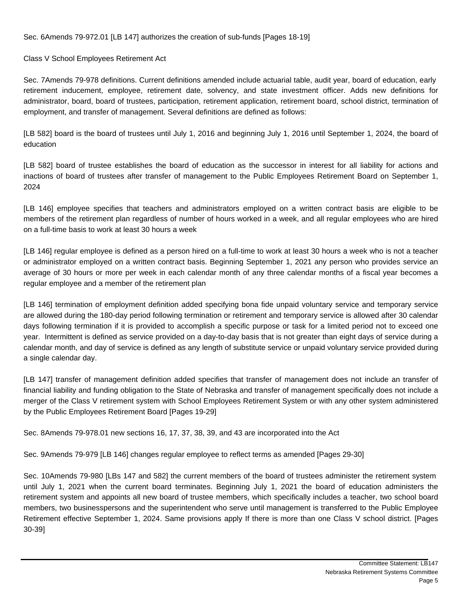Sec. 6 Amends 79-972.01 [LB 147] authorizes the creation of sub-funds [Pages 18-19]

## Class V School Employees Retirement Act

Sec. 7 Amends 79-978 definitions. Current definitions amended include actuarial table, audit year, board of education, early retirement inducement, employee, retirement date, solvency, and state investment officer. Adds new definitions for administrator, board, board of trustees, participation, retirement application, retirement board, school district, termination of employment, and transfer of management. Several definitions are defined as follows:

[LB 582] board is the board of trustees until July 1, 2016 and beginning July 1, 2016 until September 1, 2024, the board of education

[LB 582] board of trustee establishes the board of education as the successor in interest for all liability for actions and inactions of board of trustees after transfer of management to the Public Employees Retirement Board on September 1, 2024

[LB 146] employee specifies that teachers and administrators employed on a written contract basis are eligible to be members of the retirement plan regardless of number of hours worked in a week, and all regular employees who are hired on a full-time basis to work at least 30 hours a week

[LB 146] regular employee is defined as a person hired on a full-time to work at least 30 hours a week who is not a teacher or administrator employed on a written contract basis. Beginning September 1, 2021 any person who provides service an average of 30 hours or more per week in each calendar month of any three calendar months of a fiscal year becomes a regular employee and a member of the retirement plan

[LB 146] termination of employment definition added specifying bona fide unpaid voluntary service and temporary service are allowed during the 180-day period following termination or retirement and temporary service is allowed after 30 calendar days following termination if it is provided to accomplish a specific purpose or task for a limited period not to exceed one year. Intermittent is defined as service provided on a day-to-day basis that is not greater than eight days of service during a calendar month, and day of service is defined as any length of substitute service or unpaid voluntary service provided during a single calendar day.

[LB 147] transfer of management definition added specifies that transfer of management does not include an transfer of financial liability and funding obligation to the State of Nebraska and transfer of management specifically does not include a merger of the Class V retirement system with School Employees Retirement System or with any other system administered by the Public Employees Retirement Board [Pages 19-29]

Sec. 8 Amends 79-978.01 new sections 16, 17, 37, 38, 39, and 43 are incorporated into the Act

Sec. 9 Amends 79-979 [LB 146] changes regular employee to reflect terms as amended [Pages 29-30]

Sec. 10 Amends 79-980 [LBs 147 and 582] the current members of the board of trustees administer the retirement system until July 1, 2021 when the current board terminates. Beginning July 1, 2021 the board of education administers the retirement system and appoints all new board of trustee members, which specifically includes a teacher, two school board members, two businesspersons and the superintendent who serve until management is transferred to the Public Employee Retirement effective September 1, 2024. Same provisions apply If there is more than one Class V school district. [Pages 30-39]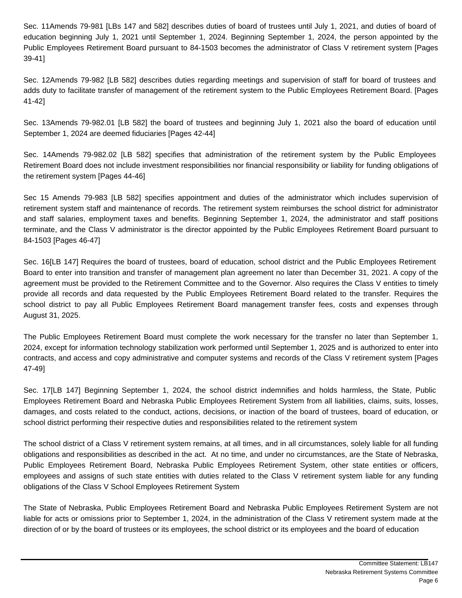Sec. 11 Amends 79-981 [LBs 147 and 582] describes duties of board of trustees until July 1, 2021, and duties of board of education beginning July 1, 2021 until September 1, 2024. Beginning September 1, 2024, the person appointed by the Public Employees Retirement Board pursuant to 84-1503 becomes the administrator of Class V retirement system [Pages 39-41]

Sec. 12 Amends 79-982 [LB 582] describes duties regarding meetings and supervision of staff for board of trustees and adds duty to facilitate transfer of management of the retirement system to the Public Employees Retirement Board. [Pages 41-42]

Sec. 13 Amends 79-982.01 [LB 582] the board of trustees and beginning July 1, 2021 also the board of education until September 1, 2024 are deemed fiduciaries [Pages 42-44]

Sec. 14 Amends 79-982.02 [LB 582] specifies that administration of the retirement system by the Public Employees Retirement Board does not include investment responsibilities nor financial responsibility or liability for funding obligations of the retirement system [Pages 44-46]

Sec 15 Amends 79-983 [LB 582] specifies appointment and duties of the administrator which includes supervision of retirement system staff and maintenance of records. The retirement system reimburses the school district for administrator and staff salaries, employment taxes and benefits. Beginning September 1, 2024, the administrator and staff positions terminate, and the Class V administrator is the director appointed by the Public Employees Retirement Board pursuant to 84-1503 [Pages 46-47]

Sec. 16 [LB 147] Requires the board of trustees, board of education, school district and the Public Employees Retirement Board to enter into transition and transfer of management plan agreement no later than December 31, 2021. A copy of the agreement must be provided to the Retirement Committee and to the Governor. Also requires the Class V entities to timely provide all records and data requested by the Public Employees Retirement Board related to the transfer. Requires the school district to pay all Public Employees Retirement Board management transfer fees, costs and expenses through August 31, 2025.

The Public Employees Retirement Board must complete the work necessary for the transfer no later than September 1, 2024, except for information technology stabilization work performed until September 1, 2025 and is authorized to enter into contracts, and access and copy administrative and computer systems and records of the Class V retirement system [Pages 47-49]

Sec. 17 [LB 147] Beginning September 1, 2024, the school district indemnifies and holds harmless, the State, Public Employees Retirement Board and Nebraska Public Employees Retirement System from all liabilities, claims, suits, losses, damages, and costs related to the conduct, actions, decisions, or inaction of the board of trustees, board of education, or school district performing their respective duties and responsibilities related to the retirement system

The school district of a Class V retirement system remains, at all times, and in all circumstances, solely liable for all funding obligations and responsibilities as described in the act. At no time, and under no circumstances, are the State of Nebraska, Public Employees Retirement Board, Nebraska Public Employees Retirement System, other state entities or officers, employees and assigns of such state entities with duties related to the Class V retirement system liable for any funding obligations of the Class V School Employees Retirement System

The State of Nebraska, Public Employees Retirement Board and Nebraska Public Employees Retirement System are not liable for acts or omissions prior to September 1, 2024, in the administration of the Class V retirement system made at the direction of or by the board of trustees or its employees, the school district or its employees and the board of education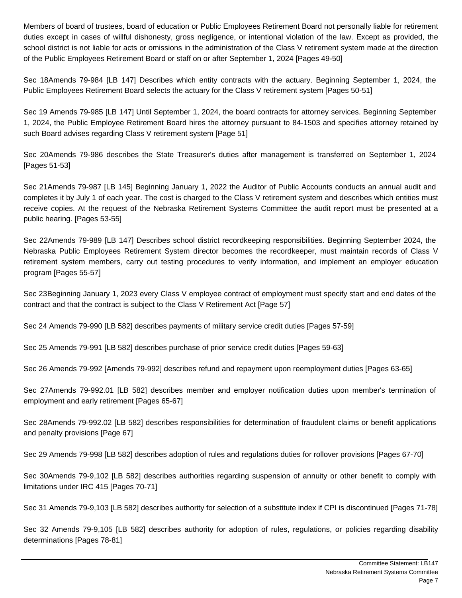Members of board of trustees, board of education or Public Employees Retirement Board not personally liable for retirement duties except in cases of willful dishonesty, gross negligence, or intentional violation of the law. Except as provided, the school district is not liable for acts or omissions in the administration of the Class V retirement system made at the direction of the Public Employees Retirement Board or staff on or after September 1, 2024 [Pages 49-50]

Sec 18 Amends 79-984 [LB 147] Describes which entity contracts with the actuary. Beginning September 1, 2024, the Public Employees Retirement Board selects the actuary for the Class V retirement system [Pages 50-51]

Sec 19 Amends 79-985 [LB 147] Until September 1, 2024, the board contracts for attorney services. Beginning September 1, 2024, the Public Employee Retirement Board hires the attorney pursuant to 84-1503 and specifies attorney retained by such Board advises regarding Class V retirement system [Page 51]

Sec 20 Amends 79-986 describes the State Treasurer's duties after management is transferred on September 1, 2024 [Pages 51-53]

Sec 21 Amends 79-987 [LB 145] Beginning January 1, 2022 the Auditor of Public Accounts conducts an annual audit and completes it by July 1 of each year. The cost is charged to the Class V retirement system and describes which entities must receive copies. At the request of the Nebraska Retirement Systems Committee the audit report must be presented at a public hearing. [Pages 53-55]

Sec 22 Amends 79-989 [LB 147] Describes school district recordkeeping responsibilities. Beginning September 2024, the Nebraska Public Employees Retirement System director becomes the recordkeeper, must maintain records of Class V retirement system members, carry out testing procedures to verify information, and implement an employer education program [Pages 55-57]

Sec 23 Beginning January 1, 2023 every Class V employee contract of employment must specify start and end dates of the contract and that the contract is subject to the Class V Retirement Act [Page 57]

Sec 24 Amends 79-990 [LB 582] describes payments of military service credit duties [Pages 57-59]

Sec 25 Amends 79-991 [LB 582] describes purchase of prior service credit duties [Pages 59-63]

Sec 26 Amends 79-992 [Amends 79-992] describes refund and repayment upon reemployment duties [Pages 63-65]

Sec 27 Amends 79-992.01 [LB 582] describes member and employer notification duties upon member's termination of employment and early retirement [Pages 65-67]

Sec 28 Amends 79-992.02 [LB 582] describes responsibilities for determination of fraudulent claims or benefit applications and penalty provisions [Page 67]

Sec 29 Amends 79-998 [LB 582] describes adoption of rules and regulations duties for rollover provisions [Pages 67-70]

Sec 30 Amends 79-9,102 [LB 582] describes authorities regarding suspension of annuity or other benefit to comply with limitations under IRC 415 [Pages 70-71]

Sec 31 Amends 79-9,103 [LB 582] describes authority for selection of a substitute index if CPI is discontinued [Pages 71-78]

Sec 32 Amends 79-9,105 [LB 582] describes authority for adoption of rules, regulations, or policies regarding disability determinations [Pages 78-81]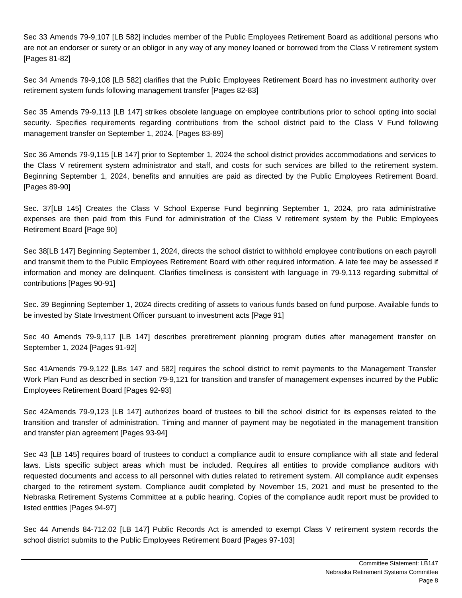Sec 33 Amends 79-9,107 [LB 582] includes member of the Public Employees Retirement Board as additional persons who are not an endorser or surety or an obligor in any way of any money loaned or borrowed from the Class V retirement system [Pages 81-82]

Sec 34 Amends 79-9,108 [LB 582] clarifies that the Public Employees Retirement Board has no investment authority over retirement system funds following management transfer [Pages 82-83]

Sec 35 Amends 79-9,113 [LB 147] strikes obsolete language on employee contributions prior to school opting into social security. Specifies requirements regarding contributions from the school district paid to the Class V Fund following management transfer on September 1, 2024. [Pages 83-89]

Sec 36 Amends 79-9,115 [LB 147] prior to September 1, 2024 the school district provides accommodations and services to the Class V retirement system administrator and staff, and costs for such services are billed to the retirement system. Beginning September 1, 2024, benefits and annuities are paid as directed by the Public Employees Retirement Board. [Pages 89-90]

Sec. 37 [LB 145] Creates the Class V School Expense Fund beginning September 1, 2024, pro rata administrative expenses are then paid from this Fund for administration of the Class V retirement system by the Public Employees Retirement Board [Page 90]

Sec 38 [LB 147] Beginning September 1, 2024, directs the school district to withhold employee contributions on each payroll and transmit them to the Public Employees Retirement Board with other required information. A late fee may be assessed if information and money are delinquent. Clarifies timeliness is consistent with language in 79-9,113 regarding submittal of contributions [Pages 90-91]

Sec. 39 Beginning September 1, 2024 directs crediting of assets to various funds based on fund purpose. Available funds to be invested by State Investment Officer pursuant to investment acts [Page 91]

Sec 40 Amends 79-9,117 [LB 147] describes preretirement planning program duties after management transfer on September 1, 2024 [Pages 91-92]

Sec 41 Amends 79-9,122 [LBs 147 and 582] requires the school district to remit payments to the Management Transfer Work Plan Fund as described in section 79-9,121 for transition and transfer of management expenses incurred by the Public Employees Retirement Board [Pages 92-93]

Sec 42 Amends 79-9,123 [LB 147] authorizes board of trustees to bill the school district for its expenses related to the transition and transfer of administration. Timing and manner of payment may be negotiated in the management transition and transfer plan agreement [Pages 93-94]

Sec 43 [LB 145] requires board of trustees to conduct a compliance audit to ensure compliance with all state and federal laws. Lists specific subject areas which must be included. Requires all entities to provide compliance auditors with requested documents and access to all personnel with duties related to retirement system. All compliance audit expenses charged to the retirement system. Compliance audit completed by November 15, 2021 and must be presented to the Nebraska Retirement Systems Committee at a public hearing. Copies of the compliance audit report must be provided to listed entities [Pages 94-97]

Sec 44 Amends 84-712.02 [LB 147] Public Records Act is amended to exempt Class V retirement system records the school district submits to the Public Employees Retirement Board [Pages 97-103]